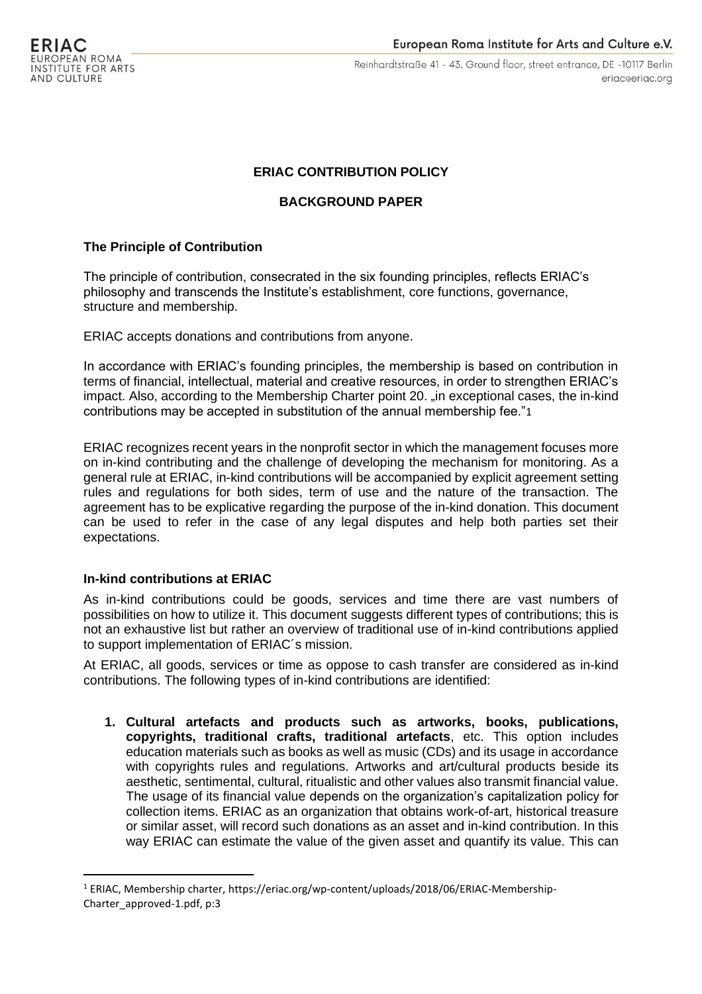Reinhardtstraße 41 - 43. Ground floor, street entrance, DE -10117 Berlin eriac@eriac.org

# **ERIAC CONTRIBUTION POLICY**

## **BACKGROUND PAPER**

#### **The Principle of Contribution**

The principle of contribution, consecrated in the six founding principles, reflects ERIAC's philosophy and transcends the Institute's establishment, core functions, governance, structure and membership.

ERIAC accepts donations and contributions from anyone.

In accordance with ERIAC's founding principles, the membership is based on contribution in terms of financial, intellectual, material and creative resources, in order to strengthen ERIAC's impact. Also, according to the Membership Charter point 20. "in exceptional cases, the in-kind contributions may be accepted in substitution of the annual membership fee."1

ERIAC recognizes recent years in the nonprofit sector in which the management focuses more on in-kind contributing and the challenge of developing the mechanism for monitoring. As a general rule at ERIAC, in-kind contributions will be accompanied by explicit agreement setting rules and regulations for both sides, term of use and the nature of the transaction. The agreement has to be explicative regarding the purpose of the in-kind donation. This document can be used to refer in the case of any legal disputes and help both parties set their expectations.

### **In-kind contributions at ERIAC**

As in-kind contributions could be goods, services and time there are vast numbers of possibilities on how to utilize it. This document suggests different types of contributions; this is not an exhaustive list but rather an overview of traditional use of in-kind contributions applied to support implementation of ERIAC´s mission.

At ERIAC, all goods, services or time as oppose to cash transfer are considered as in-kind contributions. The following types of in-kind contributions are identified:

**1. Cultural artefacts and products such as artworks, books, publications, copyrights, traditional crafts, traditional artefacts**, etc. This option includes education materials such as books as well as music (CDs) and its usage in accordance with copyrights rules and regulations. Artworks and art/cultural products beside its aesthetic, sentimental, cultural, ritualistic and other values also transmit financial value. The usage of its financial value depends on the organization's capitalization policy for collection items. ERIAC as an organization that obtains work-of-art, historical treasure or similar asset, will record such donations as an asset and in-kind contribution. In this way ERIAC can estimate the value of the given asset and quantify its value. This can

<sup>1</sup> ERIAC, Membership charter[, https://eriac.org/wp-content/uploads/2018/06/ERIAC-Membership-](https://eriac.org/wp-content/uploads/2018/06/ERIAC-Membership-Charter_approved-1.pdf)[Charter\\_approved-1.pdf,](https://eriac.org/wp-content/uploads/2018/06/ERIAC-Membership-Charter_approved-1.pdf) p:3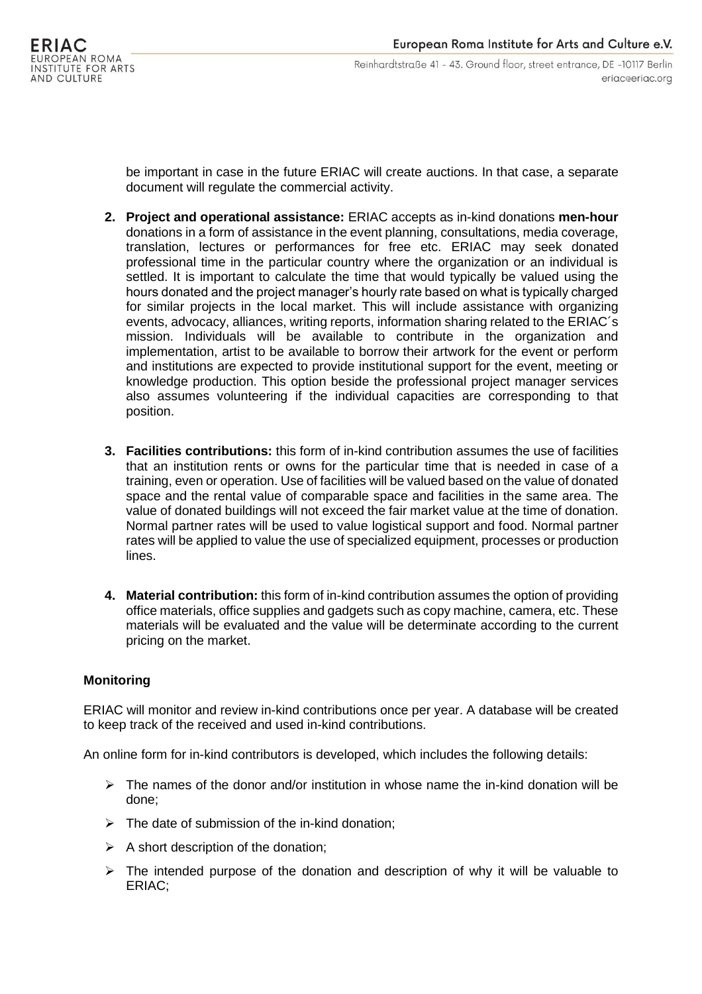be important in case in the future ERIAC will create auctions. In that case, a separate document will regulate the commercial activity.

- **2. Project and operational assistance:** ERIAC accepts as in-kind donations **men-hour** donations in a form of assistance in the event planning, consultations, media coverage, translation, lectures or performances for free etc. ERIAC may seek donated professional time in the particular country where the organization or an individual is settled. It is important to calculate the time that would typically be valued using the hours donated and the project manager's hourly rate based on what is typically charged for similar projects in the local market. This will include assistance with organizing events, advocacy, alliances, writing reports, information sharing related to the ERIAC´s mission. Individuals will be available to contribute in the organization and implementation, artist to be available to borrow their artwork for the event or perform and institutions are expected to provide institutional support for the event, meeting or knowledge production. This option beside the professional project manager services also assumes volunteering if the individual capacities are corresponding to that position.
- **3. Facilities contributions:** this form of in-kind contribution assumes the use of facilities that an institution rents or owns for the particular time that is needed in case of a training, even or operation. Use of facilities will be valued based on the value of donated space and the rental value of comparable space and facilities in the same area. The value of donated buildings will not exceed the fair market value at the time of donation. Normal partner rates will be used to value logistical support and food. Normal partner rates will be applied to value the use of specialized equipment, processes or production lines.
- **4. Material contribution:** this form of in-kind contribution assumes the option of providing office materials, office supplies and gadgets such as copy machine, camera, etc. These materials will be evaluated and the value will be determinate according to the current pricing on the market.

# **Monitoring**

ERIAC will monitor and review in-kind contributions once per year. A database will be created to keep track of the received and used in-kind contributions.

An online form for in-kind contributors is developed, which includes the following details:

- $\triangleright$  The names of the donor and/or institution in whose name the in-kind donation will be done;
- $\triangleright$  The date of submission of the in-kind donation;
- $\triangleright$  A short description of the donation;
- $\triangleright$  The intended purpose of the donation and description of why it will be valuable to ERIAC;